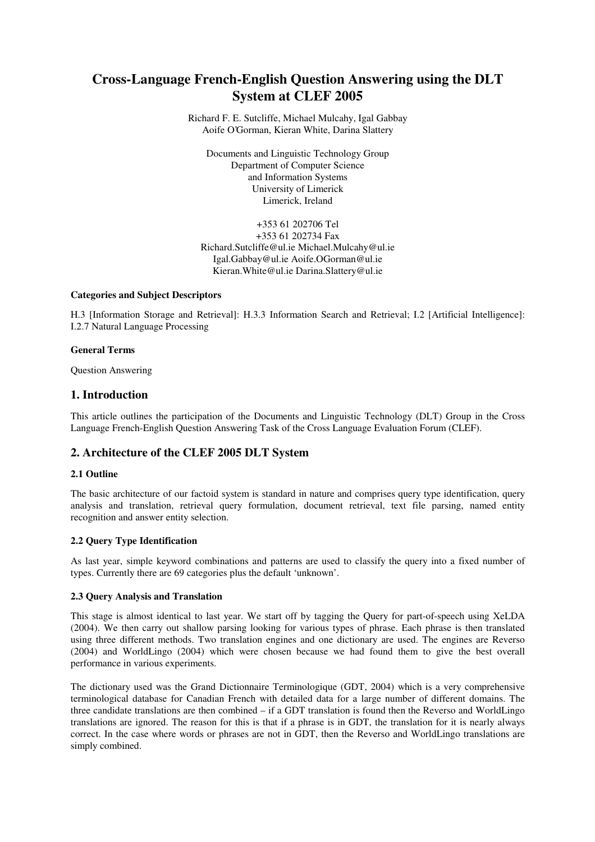# **Cross-Language French-English Question Answering using the DLT System at CLEF 2005**

Richard F. E. Sutcliffe, Michael Mulcahy, Igal Gabbay Aoife O'Gorman, Kieran White, Darina Slattery

Documents and Linguistic Technology Group Department of Computer Science and Information Systems University of Limerick Limerick, Ireland

+353 61 202706 Tel +353 61 202734 Fax Richard.Sutcliffe@ul.ie Michael.Mulcahy@ul.ie Igal.Gabbay@ul.ie Aoife.OGorman@ul.ie Kieran.White@ul.ie Darina.Slattery@ul.ie

## **Categories and Subject Descriptors**

H.3 [Information Storage and Retrieval]: H.3.3 Information Search and Retrieval; I.2 [Artificial Intelligence]: I.2.7 Natural Language Processing

#### **General Terms**

Question Answering

# **1. Introduction**

This article outlines the participation of the Documents and Linguistic Technology (DLT) Group in the Cross Language French-English Question Answering Task of the Cross Language Evaluation Forum (CLEF).

# **2. Architecture of the CLEF 2005 DLT System**

## **2.1 Outline**

The basic architecture of our factoid system is standard in nature and comprises query type identification, query analysis and translation, retrieval query formulation, document retrieval, text file parsing, named entity recognition and answer entity selection.

## **2.2 Query Type Identification**

As last year, simple keyword combinations and patterns are used to classify the query into a fixed number of types. Currently there are 69 categories plus the default 'unknown'.

## **2.3 Query Analysis and Translation**

This stage is almost identical to last year. We start off by tagging the Query for part-of-speech using XeLDA (2004). We then carry out shallow parsing looking for various types of phrase. Each phrase is then translated using three different methods. Two translation engines and one dictionary are used. The engines are Reverso (2004) and WorldLingo (2004) which were chosen because we had found them to give the best overall performance in various experiments.

The dictionary used was the Grand Dictionnaire Terminologique (GDT, 2004) which is a very comprehensive terminological database for Canadian French with detailed data for a large number of different domains. The three candidate translations are then combined – if a GDT translation is found then the Reverso and WorldLingo translations are ignored. The reason for this is that if a phrase is in GDT, the translation for it is nearly always correct. In the case where words or phrases are not in GDT, then the Reverso and WorldLingo translations are simply combined.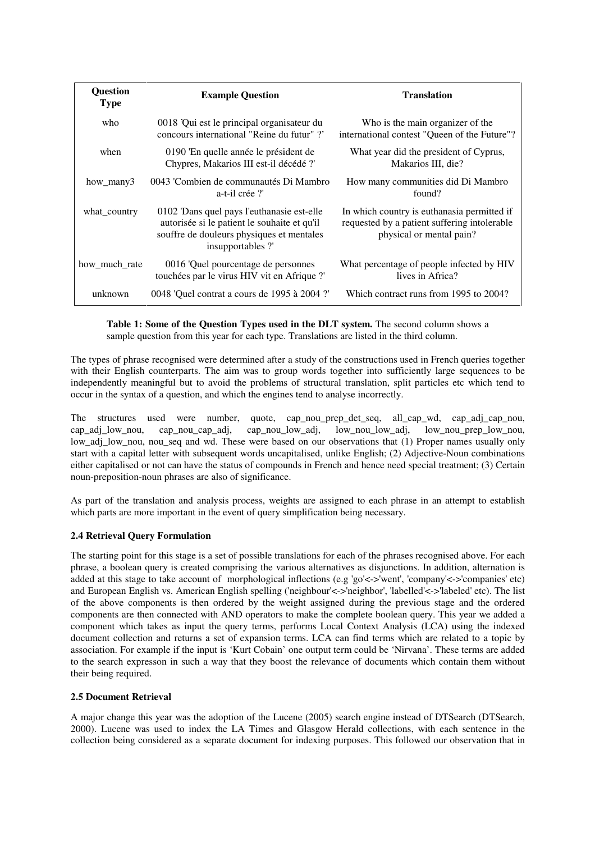| <b>Ouestion</b><br><b>Type</b> | <b>Example Question</b>                                                                                                                                      | <b>Translation</b>                                                                                                      |  |  |  |  |  |  |
|--------------------------------|--------------------------------------------------------------------------------------------------------------------------------------------------------------|-------------------------------------------------------------------------------------------------------------------------|--|--|--|--|--|--|
| who                            | 0018 'Qui est le principal organisateur du<br>concours international "Reine du futur"?                                                                       | Who is the main organizer of the<br>international contest "Queen of the Future"?                                        |  |  |  |  |  |  |
| when                           | 0190 'En quelle année le président de<br>Chypres, Makarios III est-il décédé ?'                                                                              | What year did the president of Cyprus,<br>Makarios III, die?                                                            |  |  |  |  |  |  |
| how many3                      | 0043 'Combien de communautés Di Mambro<br>a-t-il crée ?'                                                                                                     | How many communities did Di Mambro<br>found?                                                                            |  |  |  |  |  |  |
| what country                   | 0102 'Dans quel pays l'euthanasie est-elle<br>autorisée si le patient le souhaite et qu'il<br>souffre de douleurs physiques et mentales<br>insupportables ?' | In which country is euthanasia permitted if<br>requested by a patient suffering intolerable<br>physical or mental pain? |  |  |  |  |  |  |
| how_much_rate                  | 0016 'Quel pourcentage de personnes<br>touchées par le virus HIV vit en Afrique ?'                                                                           | What percentage of people infected by HIV<br>lives in Africa?                                                           |  |  |  |  |  |  |
| unknown                        | 0048 'Quel contrat a cours de 1995 à 2004 ?'                                                                                                                 | Which contract runs from 1995 to 2004?                                                                                  |  |  |  |  |  |  |

**Table 1: Some of the Question Types used in the DLT system.** The second column shows a sample question from this year for each type. Translations are listed in the third column.

The types of phrase recognised were determined after a study of the constructions used in French queries together with their English counterparts. The aim was to group words together into sufficiently large sequences to be independently meaningful but to avoid the problems of structural translation, split particles etc which tend to occur in the syntax of a question, and which the engines tend to analyse incorrectly.

The structures used were number, quote, cap\_nou\_prep\_det\_seq, all\_cap\_wd, cap\_adj\_cap\_nou, cap\_adj\_low\_nou, cap\_nou\_cap\_adj, cap\_nou\_low\_adj, low\_nou\_low\_adj, low\_nou\_prep\_low\_nou, low\_adj\_low\_nou, nou\_seq and wd. These were based on our observations that (1) Proper names usually only start with a capital letter with subsequent words uncapitalised, unlike English; (2) Adjective-Noun combinations either capitalised or not can have the status of compounds in French and hence need special treatment; (3) Certain noun-preposition-noun phrases are also of significance.

As part of the translation and analysis process, weights are assigned to each phrase in an attempt to establish which parts are more important in the event of query simplification being necessary.

# **2.4 Retrieval Query Formulation**

The starting point for this stage is a set of possible translations for each of the phrases recognised above. For each phrase, a boolean query is created comprising the various alternatives as disjunctions. In addition, alternation is added at this stage to take account of morphological inflections (e.g 'go'<->'went', 'company'<->'companies'etc) and European English vs. American English spelling ('neighbour'<->'neighbor', 'labelled'<->'labeled'etc). The list of the above components is then ordered by the weight assigned during the previous stage and the ordered components are then connected with AND operators to make the complete boolean query. This year we added a component which takes as input the query terms, performs Local Context Analysis (LCA) using the indexed document collection and returns a set of expansion terms. LCA can find terms which are related to a topic by association. For example if the input is 'Kurt Cobain' one output term could be 'Nirvana'. These terms are added to the search expresson in such a way that they boost the relevance of documents which contain them without their being required.

## **2.5 Document Retrieval**

A major change this year was the adoption of the Lucene (2005) search engine instead of DTSearch (DTSearch, 2000). Lucene was used to index the LA Times and Glasgow Herald collections, with each sentence in the collection being considered as a separate document for indexing purposes. This followed our observation that in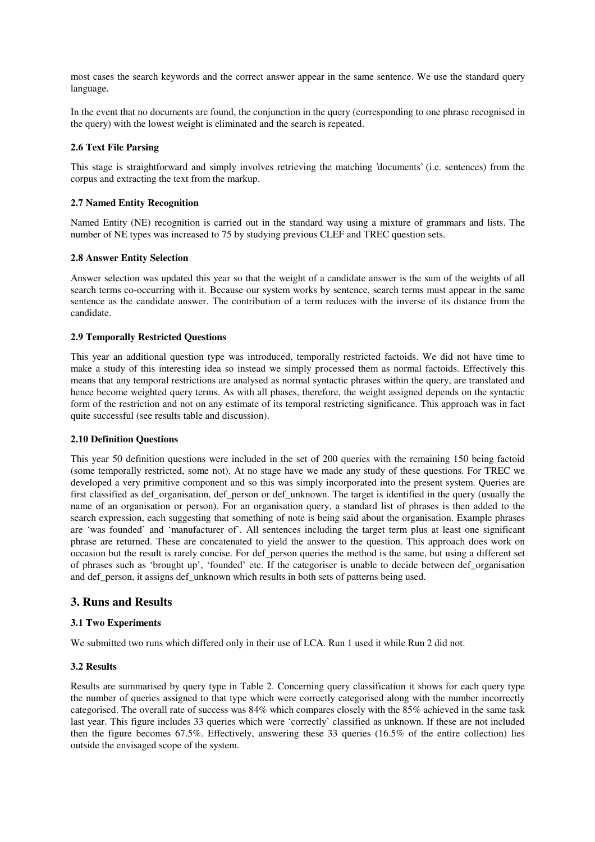most cases the search keywords and the correct answer appear in the same sentence. We use the standard query language.

In the event that no documents are found, the conjunction in the query (corresponding to one phrase recognised in the query) with the lowest weight is eliminated and the search is repeated.

#### **2.6 Text File Parsing**

This stage is straightforward and simply involves retrieving the matching 'documents' (i.e. sentences) from the corpus and extracting the text from the markup.

#### **2.7 Named Entity Recognition**

Named Entity (NE) recognition is carried out in the standard way using a mixture of grammars and lists. The number of NE types was increased to 75 by studying previous CLEF and TREC question sets.

#### **2.8 Answer Entity Selection**

Answer selection was updated this year so that the weight of a candidate answer is the sum of the weights of all search terms co-occurring with it. Because our system works by sentence, search terms must appear in the same sentence as the candidate answer. The contribution of a term reduces with the inverse of its distance from the candidate.

#### **2.9 Temporally Restricted Questions**

This year an additional question type was introduced, temporally restricted factoids. We did not have time to make a study of this interesting idea so instead we simply processed them as normal factoids. Effectively this means that any temporal restrictions are analysed as normal syntactic phrases within the query, are translated and hence become weighted query terms. As with all phases, therefore, the weight assigned depends on the syntactic form of the restriction and not on any estimate of its temporal restricting significance. This approach was in fact quite successful (see results table and discussion).

#### **2.10 Definition Questions**

This year 50 definition questions were included in the set of 200 queries with the remaining 150 being factoid (some temporally restricted, some not). At no stage have we made any study of these questions. For TREC we developed a very primitive component and so this was simply incorporated into the present system. Queries are first classified as def\_organisation, def\_person or def\_unknown. The target is identified in the query (usually the name of an organisation or person). For an organisation query, a standard list of phrases is then added to the search expression, each suggesting that something of note is being said about the organisation. Example phrases are 'was founded' and 'manufacturer of' . All sentences including the target term plus at least one significant phrase are returned. These are concatenated to yield the answer to the question. This approach does work on occasion but the result is rarely concise. For def\_person queries the method is the same, but using a different set of phrases such as 'brought up', 'founded' etc. If the categoriser is unable to decide between def\_organisation and def person, it assigns def\_unknown which results in both sets of patterns being used.

# **3. Runs and Results**

## **3.1 Two Experiments**

We submitted two runs which differed only in their use of LCA. Run 1 used it while Run 2 did not.

#### **3.2 Results**

Results are summarised by query type in Table 2. Concerning query classification it shows for each query type the number of queries assigned to that type which were correctly categorised along with the number incorrectly categorised. The overall rate of success was 84% which compares closely with the 85% achieved in the same task last year. This figure includes 33 queries which were 'correctly' classified as unknown. If these are not included then the figure becomes 67.5%. Effectively, answering these 33 queries (16.5% of the entire collection) lies outside the envisaged scope of the system.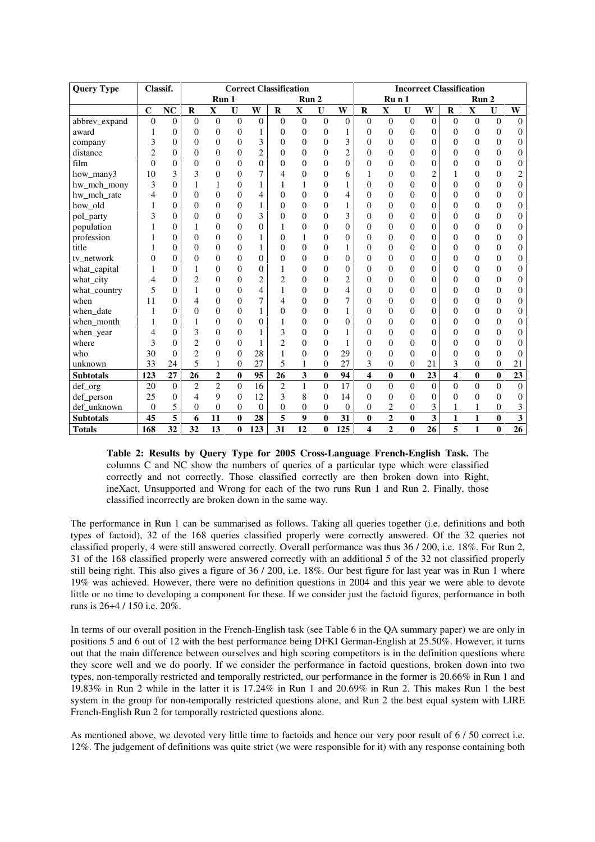| <b>Query Type</b> |                          | Classif.<br><b>Correct Classification</b> |                |                  |                  |                |                |                  | <b>Incorrect Classification</b> |                |           |                         |                  |                |                |                  |                  |                  |
|-------------------|--------------------------|-------------------------------------------|----------------|------------------|------------------|----------------|----------------|------------------|---------------------------------|----------------|-----------|-------------------------|------------------|----------------|----------------|------------------|------------------|------------------|
|                   |                          |                                           | Run 1          |                  |                  | Run 2          |                |                  | Run1                            |                |           |                         | Run 2            |                |                |                  |                  |                  |
|                   | $\mathbf C$              | <b>NC</b>                                 | $\mathbf R$    | $\mathbf X$      | U                | W              | $\bf{R}$       | $\mathbf X$      | U                               | W              | ${\bf R}$ | $\overline{\mathbf{X}}$ | U                | W              | $\bf R$        | $\mathbf X$      | $\mathbf U$      | W                |
| abbrev_expand     | $\theta$                 | $\mathbf{0}$                              | $\theta$       | $\boldsymbol{0}$ | $\mathbf{0}$     | $\theta$       | $\theta$       | $\theta$         | $\boldsymbol{0}$                | $\overline{0}$ | $\theta$  | $\overline{0}$          | $\mathbf{0}$     | $\mathbf{0}$   | $\overline{0}$ | $\theta$         | $\mathbf{0}$     | $\theta$         |
| award             | 1                        | $\theta$                                  | $\Omega$       | $\mathbf{0}$     | $\overline{0}$   | 1              | $\theta$       | $\theta$         | $\overline{0}$                  | 1              | $\Omega$  | $\overline{0}$          | $\overline{0}$   | $\overline{0}$ | $\Omega$       | $\overline{0}$   | $\overline{0}$   | $\boldsymbol{0}$ |
| company           | 3                        | $\Omega$                                  | $\Omega$       | $\theta$         | $\overline{0}$   | 3              | $\Omega$       | $\theta$         | $\mathbf{0}$                    | 3              | 0         | $\overline{0}$          | $\overline{0}$   | 0              | $\Omega$       | $\overline{0}$   | $\mathbf{0}$     | $\boldsymbol{0}$ |
| distance          | $\overline{2}$           | $\Omega$                                  | $\Omega$       | $\theta$         | $\theta$         | $\overline{2}$ | $\Omega$       | $\Omega$         | $\mathbf{0}$                    | $\overline{2}$ | $\Omega$  | $\theta$                | $\theta$         | $\theta$       | $\Omega$       | $\theta$         | $\mathbf{0}$     | $\overline{0}$   |
| film              | $\Omega$                 | $\theta$                                  | $\Omega$       | $\overline{0}$   | $\overline{0}$   | $\theta$       | $\theta$       | $\overline{0}$   | $\mathbf{0}$                    | 0              | $\Omega$  | $\theta$                | $\overline{0}$   | $\overline{0}$ | 0              | $\theta$         | $\mathbf{0}$     | $\boldsymbol{0}$ |
| how_many3         | 10                       | 3                                         | 3              | $\overline{0}$   | $\overline{0}$   | 7              | 4              | $\overline{0}$   | $\overline{0}$                  | 6              |           | $\overline{0}$          | $\overline{0}$   | $\overline{2}$ |                | $\theta$         | $\overline{0}$   | $\overline{c}$   |
| hw_mch_mony       | 3                        | $\theta$                                  | 1              | 1                | $\overline{0}$   | $\mathbf{1}$   |                | 1                | $\overline{0}$                  | 1              | $\theta$  | $\theta$                | $\overline{0}$   | $\theta$       | 0              | $\theta$         | $\theta$         | $\mathbf{0}$     |
| hw_mch_rate       | 4                        | $\Omega$                                  | $\Omega$       | $\overline{0}$   | $\overline{0}$   | 4              | $\theta$       | $\theta$         | $\mathbf{0}$                    | 4              | $\theta$  | $\theta$                | $\overline{0}$   | $\overline{0}$ | $\Omega$       | $\theta$         | $\mathbf{0}$     | $\boldsymbol{0}$ |
| how_old           | 1                        | $\theta$                                  | $\Omega$       | $\overline{0}$   | $\overline{0}$   |                | $\Omega$       | $\theta$         | $\boldsymbol{0}$                | 1              | 0         | $\theta$                | $\overline{0}$   | $\overline{0}$ | $\Omega$       | $\theta$         | $\mathbf{0}$     | $\boldsymbol{0}$ |
| pol_party         | 3                        | $\Omega$                                  | $\Omega$       | 0                | $\overline{0}$   | 3              | 0              | $\overline{0}$   | $\mathbf{0}$                    | 3              | 0         | $\overline{0}$          | $\overline{0}$   | 0              | 0              | $\overline{0}$   | $\mathbf{0}$     | $\mathbf{0}$     |
| population        |                          | $\theta$                                  | 1              | $\theta$         | $\theta$         | $\theta$       |                | $\overline{0}$   | $\mathbf{0}$                    | $\theta$       | $\theta$  | $\theta$                | $\theta$         | $\theta$       | $\Omega$       | $\theta$         | $\mathbf{0}$     | $\mathbf{0}$     |
| profession        |                          | $\theta$                                  | $\Omega$       | $\overline{0}$   | $\overline{0}$   | 1              | $\theta$       | 1                | $\mathbf{0}$                    | $\theta$       | $\theta$  | $\overline{0}$          | $\overline{0}$   | $\overline{0}$ | $\theta$       | $\overline{0}$   | $\overline{0}$   | $\boldsymbol{0}$ |
| title             |                          | $\theta$                                  | $\Omega$       | $\overline{0}$   | $\overline{0}$   | 1              | $\Omega$       | $\overline{0}$   | $\mathbf{0}$                    | 1              | $\theta$  | $\overline{0}$          | $\overline{0}$   | $\overline{0}$ | $\Omega$       | $\theta$         | $\mathbf{0}$     | $\boldsymbol{0}$ |
| tv_network        | $\Omega$                 | $\theta$                                  | $\theta$       | $\overline{0}$   | $\overline{0}$   | $\theta$       | $\Omega$       | $\overline{0}$   | $\overline{0}$                  | $\overline{0}$ | $\Omega$  | $\theta$                | $\overline{0}$   | $\overline{0}$ | $\Omega$       | $\theta$         | $\mathbf{0}$     | $\overline{0}$   |
| what_capital      |                          | $\Omega$                                  |                | $\overline{0}$   | $\overline{0}$   | $\theta$       |                | $\theta$         | $\overline{0}$                  | $\theta$       | $\Omega$  | $\Omega$                | $\theta$         | $\theta$       | $\Omega$       | $\theta$         | $\theta$         | $\theta$         |
| what_city         | $\overline{4}$           | $\theta$                                  | $\overline{2}$ | $\overline{0}$   | $\overline{0}$   | $\overline{2}$ | $\overline{2}$ | $\overline{0}$   | $\overline{0}$                  | $\overline{2}$ | $\Omega$  | $\overline{0}$          | $\overline{0}$   | $\overline{0}$ | $\Omega$       | $\overline{0}$   | $\mathbf{0}$     | $\boldsymbol{0}$ |
| what_country      | $\overline{\phantom{0}}$ | $\Omega$                                  | 1              | 0                | $\boldsymbol{0}$ | 4              |                | $\boldsymbol{0}$ | $\boldsymbol{0}$                | 4              | $\theta$  | $\overline{0}$          | $\overline{0}$   | $\overline{0}$ | $\Omega$       | $\overline{0}$   | $\mathbf{0}$     | $\boldsymbol{0}$ |
| when              | 11                       | $\theta$                                  | 4              | $\overline{0}$   | $\theta$         | 7              | 4              | $\theta$         | $\mathbf{0}$                    | 7              | 0         | $\theta$                | $\overline{0}$   | $\overline{0}$ | $\Omega$       | $\theta$         | $\mathbf{0}$     | $\boldsymbol{0}$ |
| when date         | 1                        | $\theta$                                  | $\theta$       | $\theta$         | 0                |                | $\theta$       | $\Omega$         | $\mathbf{0}$                    | 1              | $\theta$  | $\Omega$                | $\overline{0}$   | $\overline{0}$ | $\theta$       | $\theta$         | $\mathbf{0}$     | $\boldsymbol{0}$ |
| when month        |                          | $\theta$                                  |                | $\overline{0}$   | $\theta$         | $\theta$       |                | $\theta$         | $\mathbf{0}$                    | $\theta$       | $\Omega$  | $\Omega$                | $\overline{0}$   | $\theta$       | $\Omega$       | $\theta$         | $\theta$         | $\overline{0}$   |
| when_year         | 4                        | $\theta$                                  | 3              | $\overline{0}$   | $\overline{0}$   |                | 3              | $\overline{0}$   | $\mathbf{0}$                    | 1              | $\theta$  | $\overline{0}$          | $\overline{0}$   | $\overline{0}$ | 0              | $\overline{0}$   | $\overline{0}$   | $\overline{0}$   |
| where             | 3                        | $\Omega$                                  | $\overline{2}$ | $\overline{0}$   | $\overline{0}$   | 1              | $\overline{c}$ | $\theta$         | $\mathbf{0}$                    | 1              | 0         | $\theta$                | $\overline{0}$   | $\theta$       | $\Omega$       | $\theta$         | $\theta$         | $\overline{0}$   |
| who               | 30                       | $\Omega$                                  | $\overline{2}$ | $\overline{0}$   | $\theta$         | 28             | 1              | $\Omega$         | $\overline{0}$                  | 29             | $\Omega$  | $\Omega$                | $\overline{0}$   | $\theta$       | $\Omega$       | $\theta$         | $\overline{0}$   | $\overline{0}$   |
| unknown           | 33                       | 24                                        | 5              | 1                | $\overline{0}$   | 27             | 5              | $\mathbf{1}$     | $\boldsymbol{0}$                | 27             | 3         | $\overline{0}$          | $\boldsymbol{0}$ | 21             | 3              | $\boldsymbol{0}$ | $\boldsymbol{0}$ | 21               |
| <b>Subtotals</b>  | 123                      | 27                                        | 26             | $\overline{2}$   | $\bf{0}$         | 95             | 26             | 3                | $\bf{0}$                        | 94             | 4         | $\mathbf{0}$            | $\bf{0}$         | 23             | 4              | $\bf{0}$         | $\bf{0}$         | 23               |
| def_org           | 20                       | $\mathbf{0}$                              | $\overline{c}$ | $\mathbf{2}$     | $\overline{0}$   | 16             | $\overline{c}$ | $\mathbf{1}$     | $\overline{0}$                  | 17             | $\theta$  | $\overline{0}$          | $\mathbf{0}$     | $\mathbf{0}$   | $\theta$       | $\overline{0}$   | $\boldsymbol{0}$ | $\boldsymbol{0}$ |
| def_person        | 25                       | $\overline{0}$                            | $\overline{4}$ | 9                | $\overline{0}$   | 12             | 3              | 8                | $\mathbf{0}$                    | 14             | $\theta$  | $\overline{0}$          | $\overline{0}$   | $\theta$       | $\theta$       | $\overline{0}$   | $\overline{0}$   | $\boldsymbol{0}$ |
| def_unknown       | $\overline{0}$           | 5                                         | $\theta$       | $\overline{0}$   | $\overline{0}$   | $\theta$       | $\overline{0}$ | $\mathbf{0}$     | $\mathbf{0}$                    | $\overline{0}$ | $\theta$  | $\overline{c}$          | $\overline{0}$   | 3              |                | 1                | $\mathbf{0}$     | 3                |
| <b>Subtotals</b>  | 45                       | 5                                         | 6              | 11               | $\bf{0}$         | 28             | 5              | 9                | $\bf{0}$                        | 31             | $\bf{0}$  | $\overline{2}$          | $\bf{0}$         | 3              | 1              | $\mathbf{1}$     | $\bf{0}$         | 3                |
| <b>Totals</b>     | 168                      | 32                                        | 32             | 13               | $\bf{0}$         | 123            | 31             | 12               | $\bf{0}$                        | 125            | 4         | $\overline{2}$          | $\bf{0}$         | 26             | 5              | 1                | $\bf{0}$         | 26               |

**Table 2: Results by Query Type for 2005 Cross-Language French-English Task.** The columns C and NC show the numbers of queries of a particular type which were classified correctly and not correctly. Those classified correctly are then broken down into Right, ineXact, Unsupported and Wrong for each of the two runs Run 1 and Run 2. Finally, those classified incorrectly are broken down in the same way.

The performance in Run 1 can be summarised as follows. Taking all queries together (i.e. definitions and both types of factoid), 32 of the 168 queries classified properly were correctly answered. Of the 32 queries not classified properly, 4 were still answered correctly. Overall performance was thus 36 / 200, i.e. 18%. For Run 2, 31 of the 168 classified properly were answered correctly with an additional 5 of the 32 not classified properly still being right. This also gives a figure of 36 / 200, i.e. 18%. Our best figure for last year was in Run 1 where 19% was achieved. However, there were no definition questions in 2004 and this year we were able to devote little or no time to developing a component for these. If we consider just the factoid figures, performance in both runs is 26+4 / 150 i.e. 20%.

In terms of our overall position in the French-English task (see Table 6 in the QA summary paper) we are only in positions 5 and 6 out of 12 with the best performance being DFKI German-English at 25.50%. However, it turns out that the main difference between ourselves and high scoring competitors is in the definition questions where they score well and we do poorly. If we consider the performance in factoid questions, broken down into two types, non-temporally restricted and temporally restricted, our performance in the former is 20.66% in Run 1 and 19.83% in Run 2 while in the latter it is 17.24% in Run 1 and 20.69% in Run 2. This makes Run 1 the best system in the group for non-temporally restricted questions alone, and Run 2 the best equal system with LIRE French-English Run 2 for temporally restricted questions alone.

As mentioned above, we devoted very little time to factoids and hence our very poor result of 6 / 50 correct i.e. 12%. The judgement of definitions was quite strict (we were responsible for it) with any response containing both